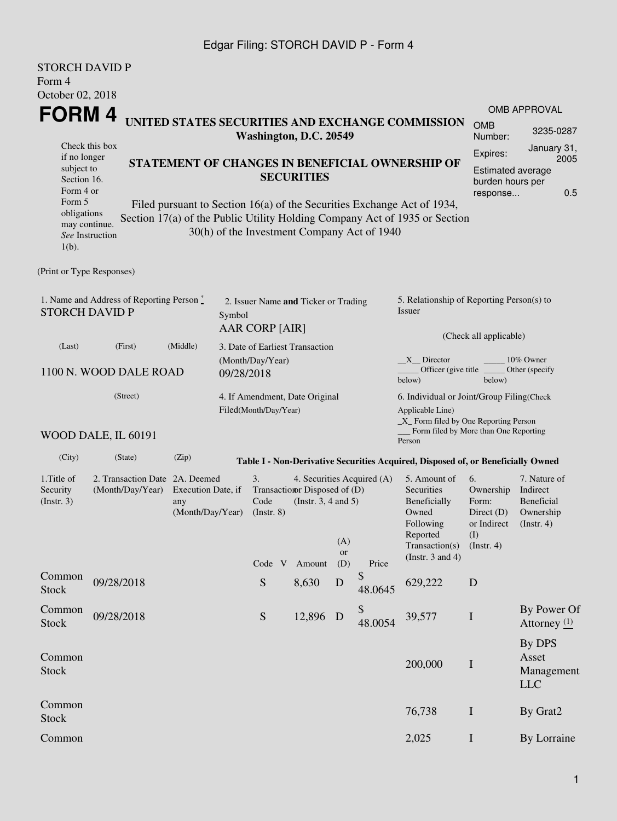## Edgar Filing: STORCH DAVID P - Form 4

| <b>STORCH DAVID P</b><br>Form 4                                                    |                                                    |                                               |                                                                                                                                                 |                                                         |             |                            |                                                                                                         |                                                                              |                                                                         |
|------------------------------------------------------------------------------------|----------------------------------------------------|-----------------------------------------------|-------------------------------------------------------------------------------------------------------------------------------------------------|---------------------------------------------------------|-------------|----------------------------|---------------------------------------------------------------------------------------------------------|------------------------------------------------------------------------------|-------------------------------------------------------------------------|
| October 02, 2018                                                                   |                                                    |                                               |                                                                                                                                                 |                                                         |             |                            |                                                                                                         |                                                                              |                                                                         |
| <b>FORM4</b>                                                                       |                                                    |                                               |                                                                                                                                                 |                                                         |             |                            |                                                                                                         |                                                                              | <b>OMB APPROVAL</b>                                                     |
|                                                                                    |                                                    |                                               | Washington, D.C. 20549                                                                                                                          |                                                         |             |                            | UNITED STATES SECURITIES AND EXCHANGE COMMISSION                                                        | <b>OMB</b><br>Number:                                                        | 3235-0287                                                               |
| Check this box<br>if no longer<br>subject to<br>Section 16.<br>Form 4 or<br>Form 5 |                                                    |                                               | STATEMENT OF CHANGES IN BENEFICIAL OWNERSHIP OF<br><b>SECURITIES</b><br>Filed pursuant to Section 16(a) of the Securities Exchange Act of 1934, |                                                         |             |                            |                                                                                                         | Expires:<br><b>Estimated average</b><br>burden hours per<br>response         | January 31,<br>2005<br>0.5                                              |
| obligations<br>may continue.<br>$1(b)$ .                                           | See Instruction                                    |                                               | 30(h) of the Investment Company Act of 1940                                                                                                     |                                                         |             |                            | Section 17(a) of the Public Utility Holding Company Act of 1935 or Section                              |                                                                              |                                                                         |
| (Print or Type Responses)                                                          |                                                    |                                               |                                                                                                                                                 |                                                         |             |                            |                                                                                                         |                                                                              |                                                                         |
| <b>STORCH DAVID P</b>                                                              | 1. Name and Address of Reporting Person $\degree$  |                                               | 2. Issuer Name and Ticker or Trading<br>Symbol<br><b>AAR CORP [AIR]</b>                                                                         |                                                         |             |                            | 5. Relationship of Reporting Person(s) to<br>Issuer                                                     |                                                                              |                                                                         |
| (Last)                                                                             | (First)                                            | (Middle)                                      | 3. Date of Earliest Transaction                                                                                                                 |                                                         |             |                            |                                                                                                         | (Check all applicable)                                                       |                                                                         |
|                                                                                    | 1100 N. WOOD DALE ROAD                             |                                               | (Month/Day/Year)<br>09/28/2018                                                                                                                  |                                                         |             |                            | X Director<br>Officer (give title __<br>below)                                                          | below)                                                                       | 10% Owner<br>Other (specify                                             |
|                                                                                    | (Street)                                           |                                               | 4. If Amendment, Date Original<br>Filed(Month/Day/Year)                                                                                         |                                                         |             |                            | 6. Individual or Joint/Group Filing(Check<br>Applicable Line)<br>_X_ Form filed by One Reporting Person |                                                                              |                                                                         |
|                                                                                    | WOOD DALE, IL 60191                                |                                               |                                                                                                                                                 |                                                         |             |                            | Form filed by More than One Reporting<br>Person                                                         |                                                                              |                                                                         |
| (City)                                                                             | (State)                                            | (Zip)                                         |                                                                                                                                                 |                                                         |             |                            | Table I - Non-Derivative Securities Acquired, Disposed of, or Beneficially Owned                        |                                                                              |                                                                         |
| 1. Title of<br>Security<br>(Insert. 3)                                             | 2. Transaction Date 2A. Deemed<br>(Month/Day/Year) | Execution Date, if<br>any<br>(Month/Day/Year) | 3.<br>Code<br>$($ Instr. $8)$                                                                                                                   | Transaction Disposed of (D)<br>(Instr. $3, 4$ and $5$ ) | (A)         | 4. Securities Acquired (A) | 5. Amount of<br>Securities<br>Beneficially<br>Owned<br>Following<br>Reported<br>Transaction(s)          | 6.<br>Ownership<br>Form:<br>Direct $(D)$<br>or Indirect<br>(I)<br>(Instr. 4) | 7. Nature of<br>Indirect<br>Beneficial<br>Ownership<br>$($ Instr. 4 $)$ |
|                                                                                    |                                                    |                                               |                                                                                                                                                 | Code V Amount                                           | or<br>(D)   | Price                      | (Instr. $3$ and $4$ )                                                                                   |                                                                              |                                                                         |
| Common<br>Stock                                                                    | 09/28/2018                                         |                                               | ${\mathbf S}$                                                                                                                                   | 8,630                                                   | $\mathbf D$ | \$<br>48.0645              | 629,222                                                                                                 | ${\bf D}$                                                                    |                                                                         |
| Common<br><b>Stock</b>                                                             | 09/28/2018                                         |                                               | ${\mathcal S}$                                                                                                                                  | 12,896                                                  | D           | \$<br>48.0054              | 39,577                                                                                                  | $\bf I$                                                                      | By Power Of<br>Attorney $(1)$                                           |
| Common<br><b>Stock</b>                                                             |                                                    |                                               |                                                                                                                                                 |                                                         |             |                            | 200,000                                                                                                 | $\mathbf I$                                                                  | By DPS<br>Asset<br>Management<br><b>LLC</b>                             |
| Common<br>Stock                                                                    |                                                    |                                               |                                                                                                                                                 |                                                         |             |                            | 76,738                                                                                                  | $\mathbf I$                                                                  | By Grat2                                                                |
| Common                                                                             |                                                    |                                               |                                                                                                                                                 |                                                         |             |                            | 2,025                                                                                                   | $\mathbf I$                                                                  | By Lorraine                                                             |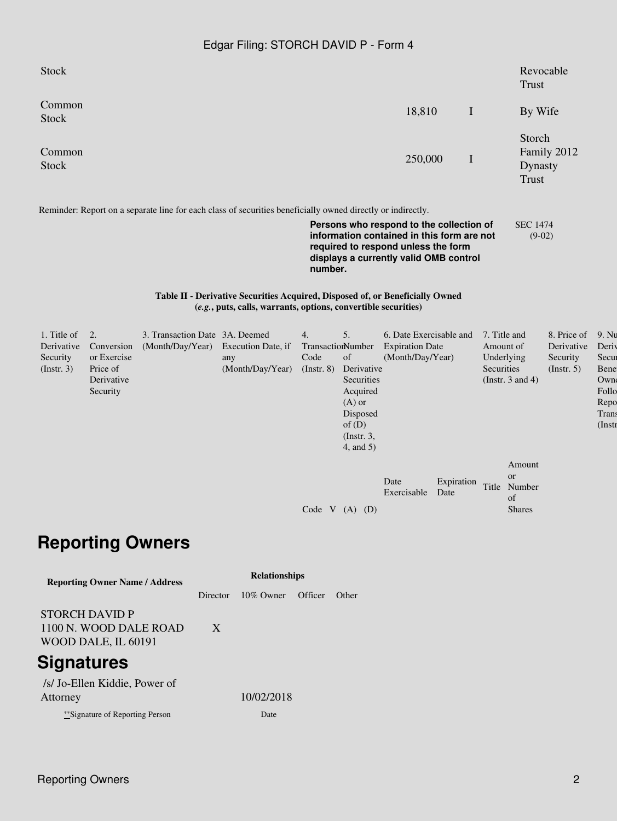## Edgar Filing: STORCH DAVID P - Form 4

| <b>Stock</b>                                                                                                                                    |                                                                                                                                                                                                                                                                                                                                  |                                                    |                                               |                                                    |                                                                                   |                                                                       |             | Revocable<br>Trust                                                             |                                                      |                                                                                     |  |
|-------------------------------------------------------------------------------------------------------------------------------------------------|----------------------------------------------------------------------------------------------------------------------------------------------------------------------------------------------------------------------------------------------------------------------------------------------------------------------------------|----------------------------------------------------|-----------------------------------------------|----------------------------------------------------|-----------------------------------------------------------------------------------|-----------------------------------------------------------------------|-------------|--------------------------------------------------------------------------------|------------------------------------------------------|-------------------------------------------------------------------------------------|--|
| Common<br><b>Stock</b>                                                                                                                          |                                                                                                                                                                                                                                                                                                                                  |                                                    |                                               |                                                    |                                                                                   | 18,810                                                                | $\mathbf I$ | By Wife                                                                        |                                                      |                                                                                     |  |
| Common<br><b>Stock</b>                                                                                                                          |                                                                                                                                                                                                                                                                                                                                  |                                                    |                                               |                                                    |                                                                                   | 250,000                                                               | I           |                                                                                | Storch<br>Family 2012<br>Dynasty<br><b>Trust</b>     |                                                                                     |  |
|                                                                                                                                                 | Reminder: Report on a separate line for each class of securities beneficially owned directly or indirectly.<br>Persons who respond to the collection of<br><b>SEC 1474</b><br>information contained in this form are not<br>$(9-02)$<br>required to respond unless the form<br>displays a currently valid OMB control<br>number. |                                                    |                                               |                                                    |                                                                                   |                                                                       |             |                                                                                |                                                      |                                                                                     |  |
| Table II - Derivative Securities Acquired, Disposed of, or Beneficially Owned<br>(e.g., puts, calls, warrants, options, convertible securities) |                                                                                                                                                                                                                                                                                                                                  |                                                    |                                               |                                                    |                                                                                   |                                                                       |             |                                                                                |                                                      |                                                                                     |  |
| 1. Title of<br>Derivative<br>Security<br>(Insert. 3)                                                                                            | 2.<br>Conversion<br>or Exercise<br>Price of<br>Derivative<br>Security                                                                                                                                                                                                                                                            | 3. Transaction Date 3A. Deemed<br>(Month/Day/Year) | Execution Date, if<br>any<br>(Month/Day/Year) | 4.<br>TransactionNumber<br>Code<br>$($ Instr. $8)$ | 5.<br>of<br>Derivative<br>Securities<br>Acquired<br>$(A)$ or<br>Disposed<br>of(D) | 6. Date Exercisable and<br><b>Expiration Date</b><br>(Month/Day/Year) |             | 7. Title and<br>Amount of<br>Underlying<br>Securities<br>(Instr. $3$ and $4$ ) | 8. Price of<br>Derivative<br>Security<br>(Insert. 5) | 9. N <sub>l</sub><br>Deri<br>Secu<br>Bene<br>Own<br>Follo<br>Repo<br>Tran<br>(Inst] |  |

|                    |                          |                         | Amount                    |
|--------------------|--------------------------|-------------------------|---------------------------|
| Code V $(A)$ $(D)$ | Date<br>Exercisable Date | Expiration Title Number | or<br>Ωf<br><b>Shares</b> |
|                    |                          |                         |                           |

(Instr. 3, 4, and 5)

## **Reporting Owners**

| <b>Reporting Owner Name / Address</b>                           | <b>Relationships</b> |              |         |              |  |  |  |
|-----------------------------------------------------------------|----------------------|--------------|---------|--------------|--|--|--|
|                                                                 | Director             | $10\%$ Owner | Officer | <b>Other</b> |  |  |  |
| STORCH DAVID P<br>1100 N. WOOD DALE ROAD<br>WOOD DALE, IL 60191 | X                    |              |         |              |  |  |  |
| <b>Signatures</b>                                               |                      |              |         |              |  |  |  |
| /s/ Jo-Ellen Kiddie, Power of<br>Attorney                       |                      | 10/02/2018   |         |              |  |  |  |